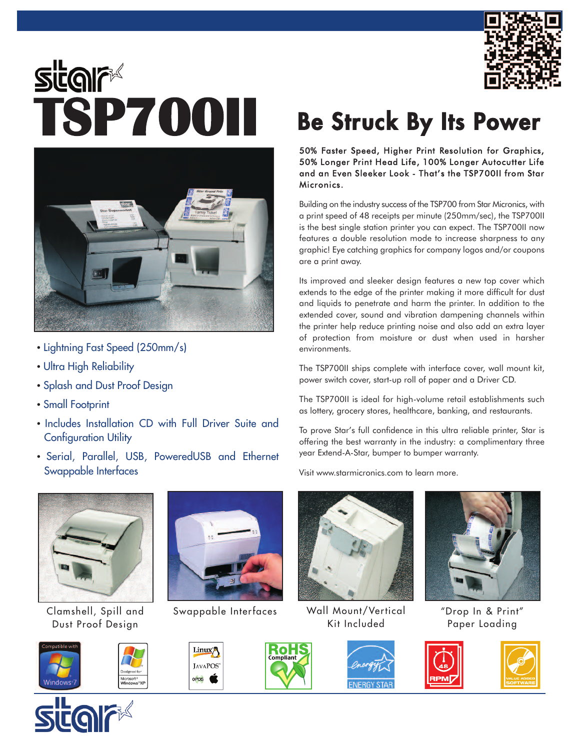

## **SUGIF SURF**<br>**TSP700II** Be Struck By Its Power



- Lightning Fast Speed (250mm/s)
- Ultra High Reliability
- Splash and Dust Proof Design
- Small Footprint
- Includes Installation CD with Full Driver Suite and Configuration Utility
- Serial, Parallel, USB, PoweredUSB and Ethernet Swappable Interfaces



Clamshell, Spill and Dust Proof Design







Rol Compliant

Linux<sup>2</sup>

JAVAPOS<sup>-</sup> opos **C** 

50% Faster Speed, Higher Print Resolution for Graphics, 50% Longer Print Head Life, 100% Longer Autocutter Life and an Even Sleeker Look - That's the TSP700II from Star Micronics.

Building on the industry success of the TSP700 from Star Micronics, with a print speed of 48 receipts per minute (250mm/sec), the TSP700II is the best single station printer you can expect. The TSP700II now features a double resolution mode to increase sharpness to any graphic! Eye catching graphics for company logos and/or coupons are a print away.

Its improved and sleeker design features a new top cover which extends to the edge of the printer making it more difficult for dust and liquids to penetrate and harm the printer. In addition to the extended cover, sound and vibration dampening channels within the printer help reduce printing noise and also add an extra layer of protection from moisture or dust when used in harsher environments.

The TSP700II ships complete with interface cover, wall mount kit, power switch cover, start-up roll of paper and a Driver CD.

The TSP700II is ideal for high-volume retail establishments such as lottery, grocery stores, healthcare, banking, and restaurants.

To prove Star's full confidence in this ultra reliable printer, Star is offering the best warranty in the industry: a complimentary three year Extend-A-Star, bumper to bumper warranty.

Visit www.starmicronics.com to learn more.



Swappable Interfaces Wall Mount/Vertical Kit Included



"Drop In & Print" Paper Loading